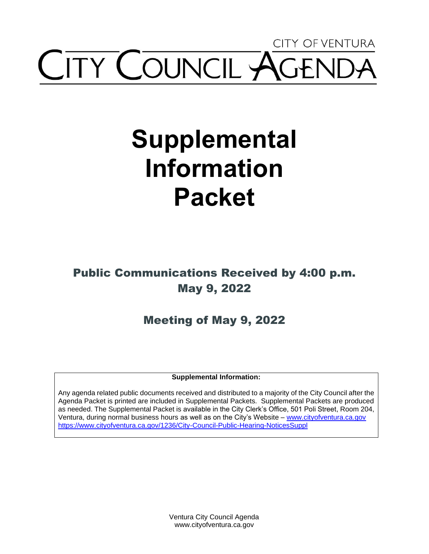## CITY OF VENTURA **ITY COUNCIL AGE**

## **Supplemental Information Packet**

Public Communications Received by 4:00 p.m. May 9, 2022

Meeting of May 9, 2022

**Supplemental Information:** 

Any agenda related public documents received and distributed to a majority of the City Council after the Agenda Packet is printed are included in Supplemental Packets. Supplemental Packets are produced as needed. The Supplemental Packet is available in the City Clerk's Office, 501 Poli Street, Room 204, Ventura, during normal business hours as well as on the City's Website – [www.cityofventura.ca.gov](http://www.cityofventura.ca.gov/)  <https://www.cityofventura.ca.gov/1236/City-Council-Public-Hearing-NoticesSuppl>

> Ventura City Council Agenda www.cityofventura.ca.gov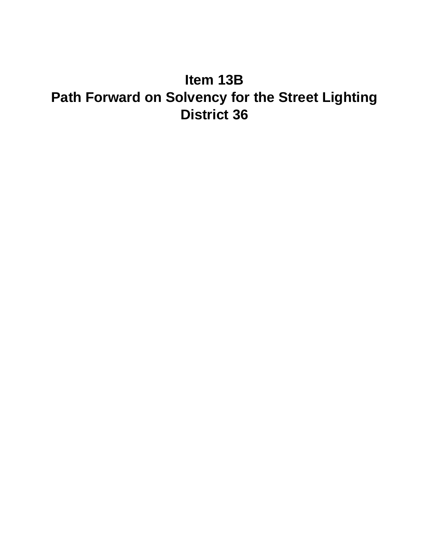## Item 13B Path Forward on Solvency for the Street Lighting **District 36**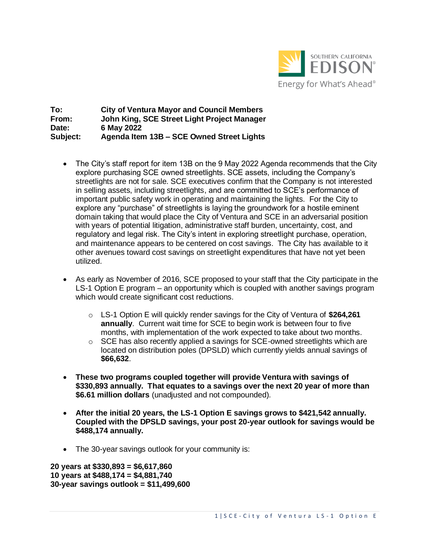

## **To: City of Ventura Mayor and Council Members From: John King, SCE Street Light Project Manager Date: 6 May 2022 Subject: Agenda Item 13B – SCE Owned Street Lights**

- The City's staff report for item 13B on the 9 May 2022 Agenda recommends that the City explore purchasing SCE owned streetlights. SCE assets, including the Company's streetlights are not for sale. SCE executives confirm that the Company is not interested in selling assets, including streetlights, and are committed to SCE's performance of important public safety work in operating and maintaining the lights. For the City to explore any "purchase" of streetlights is laying the groundwork for a hostile eminent domain taking that would place the City of Ventura and SCE in an adversarial position with years of potential litigation, administrative staff burden, uncertainty, cost, and regulatory and legal risk. The City's intent in exploring streetlight purchase, operation, and maintenance appears to be centered on cost savings. The City has available to it other avenues toward cost savings on streetlight expenditures that have not yet been utilized.
- As early as November of 2016, SCE proposed to your staff that the City participate in the LS-1 Option E program – an opportunity which is coupled with another savings program which would create significant cost reductions.
	- o LS-1 Option E will quickly render savings for the City of Ventura of **\$264,261 annually**. Current wait time for SCE to begin work is between four to five months, with implementation of the work expected to take about two months.
	- $\circ$  SCE has also recently applied a savings for SCE-owned streetlights which are located on distribution poles (DPSLD) which currently yields annual savings of **\$66,632**.
- **These two programs coupled together will provide Ventura with savings of \$330,893 annually. That equates to a savings over the next 20 year of more than \$6.61 million dollars** (unadjusted and not compounded).
- **After the initial 20 years, the LS-1 Option E savings grows to \$421,542 annually. Coupled with the DPSLD savings, your post 20-year outlook for savings would be \$488,174 annually.**
- The 30-year savings outlook for your community is:

**20 years at \$330,893 = \$6,617,860 10 years at \$488,174 = \$4,881,740 30-year savings outlook = \$11,499,600**